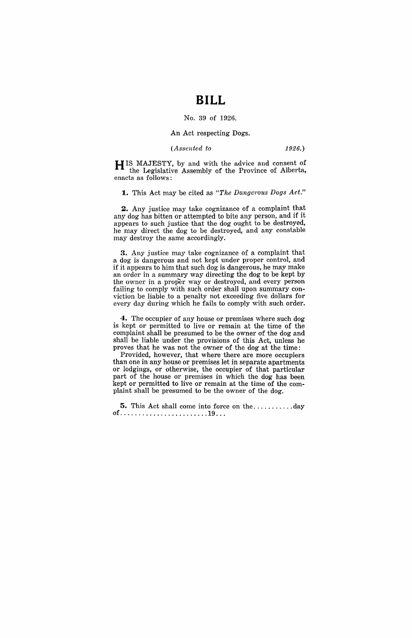## **BILL**

#### No. 39 of 1926.

#### An Act respecting Dogs.

#### *(Assented to* 1926.)

H IS MAJESTY, by and with the advice and consent of the Legislative Assembly of the Province of Alberta, enacts as follows:

**1.** This Act may be cited as "The Dangerous Dogs Act."

**2.** Any justice may take cognizance of a complaint that any dog has bitten or attempted to bite any person, and if it appears to such justice that the dog ought to be destroyed, he may direct the dog to be destroyed, and any constable may destroy the same accordingly.

**3.** Any justice may take cognizance of a complaint that a dog is dangerous and not kept under proper control, and if it appears to him that such dog is dangerous, he may make an order in a summary way directing the dog to be kept by the owner in a proper way or destroyed, and every person failing to comply with such order shall upon summary conviction be liable to a penalty not exceeding five dollars for every day during which he fails to comply with such order.

**4.** The occupier of any house or premises where such dog is kept or permitted to live or remain at the time of the complaint shall be presumed to be the owner of the dog and shall be liable under the provisions of this Act, unless he proves that he was not the owner of the dog at the time:

Provided, however, that where there are more occupiers than one in any house or premises let in separate apartments or lodgings, or otherwise, the occupier of that particular part of the house or premises in which the dog has been kept or permitted to live or remain at the time of the complaint shall be presumed to be the owner of the dog.

**5.** This Act shall come into force on the ........... day of ........................ 19 .. .